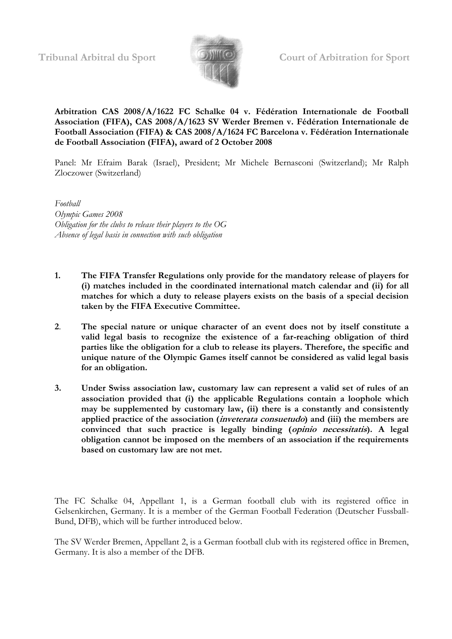

**Arbitration CAS 2008/A/1622 FC Schalke 04 v. Fédération Internationale de Football Association (FIFA), CAS 2008/A/1623 SV Werder Bremen v. Fédération Internationale de Football Association (FIFA) & CAS 2008/A/1624 FC Barcelona v. Fédération Internationale de Football Association (FIFA), award of 2 October 2008**

Panel: Mr Efraim Barak (Israel), President; Mr Michele Bernasconi (Switzerland); Mr Ralph Zloczower (Switzerland)

*Football Olympic Games 2008 Obligation for the clubs to release their players to the OG Absence of legal basis in connection with such obligation*

- **1. The FIFA Transfer Regulations only provide for the mandatory release of players for (i) matches included in the coordinated international match calendar and (ii) for all matches for which a duty to release players exists on the basis of a special decision taken by the FIFA Executive Committee.**
- **2**. **The special nature or unique character of an event does not by itself constitute a valid legal basis to recognize the existence of a far-reaching obligation of third parties like the obligation for a club to release its players. Therefore, the specific and unique nature of the Olympic Games itself cannot be considered as valid legal basis for an obligation.**
- **3. Under Swiss association law, customary law can represent a valid set of rules of an association provided that (i) the applicable Regulations contain a loophole which may be supplemented by customary law, (ii) there is a constantly and consistently applied practice of the association (inveterata consuetudo) and (iii) the members are convinced that such practice is legally binding (opinio necessitatis). A legal obligation cannot be imposed on the members of an association if the requirements based on customary law are not met.**

The FC Schalke 04, Appellant 1, is a German football club with its registered office in Gelsenkirchen, Germany. It is a member of the German Football Federation (Deutscher Fussball-Bund, DFB), which will be further introduced below.

The SV Werder Bremen, Appellant 2, is a German football club with its registered office in Bremen, Germany. It is also a member of the DFB.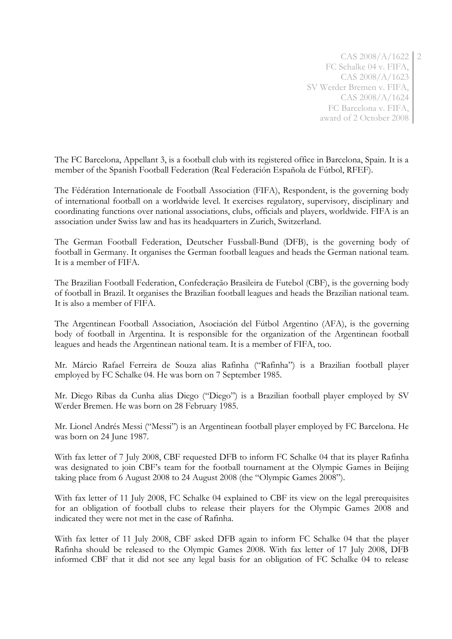2

The FC Barcelona, Appellant 3, is a football club with its registered office in Barcelona, Spain. It is a member of the Spanish Football Federation (Real Federación Española de Fútbol, RFEF).

The Fédération Internationale de Football Association (FIFA), Respondent, is the governing body of international football on a worldwide level. It exercises regulatory, supervisory, disciplinary and coordinating functions over national associations, clubs, officials and players, worldwide. FIFA is an association under Swiss law and has its headquarters in Zurich, Switzerland.

The German Football Federation, Deutscher Fussball-Bund (DFB), is the governing body of football in Germany. It organises the German football leagues and heads the German national team. It is a member of FIFA.

The Brazilian Football Federation, Confederação Brasileira de Futebol (CBF), is the governing body of football in Brazil. It organises the Brazilian football leagues and heads the Brazilian national team. It is also a member of FIFA.

The Argentinean Football Association, Asociación del Fútbol Argentino (AFA), is the governing body of football in Argentina. It is responsible for the organization of the Argentinean football leagues and heads the Argentinean national team. It is a member of FIFA, too.

Mr. Márcio Rafael Ferreira de Souza alias Rafinha ("Rafinha") is a Brazilian football player employed by FC Schalke 04. He was born on 7 September 1985.

Mr. Diego Ribas da Cunha alias Diego ("Diego") is a Brazilian football player employed by SV Werder Bremen. He was born on 28 February 1985.

Mr. Lionel Andrés Messi ("Messi") is an Argentinean football player employed by FC Barcelona. He was born on 24 June 1987.

With fax letter of 7 July 2008, CBF requested DFB to inform FC Schalke 04 that its player Rafinha was designated to join CBF's team for the football tournament at the Olympic Games in Beijing taking place from 6 August 2008 to 24 August 2008 (the "Olympic Games 2008").

With fax letter of 11 July 2008, FC Schalke 04 explained to CBF its view on the legal prerequisites for an obligation of football clubs to release their players for the Olympic Games 2008 and indicated they were not met in the case of Rafinha.

With fax letter of 11 July 2008, CBF asked DFB again to inform FC Schalke 04 that the player Rafinha should be released to the Olympic Games 2008. With fax letter of 17 July 2008, DFB informed CBF that it did not see any legal basis for an obligation of FC Schalke 04 to release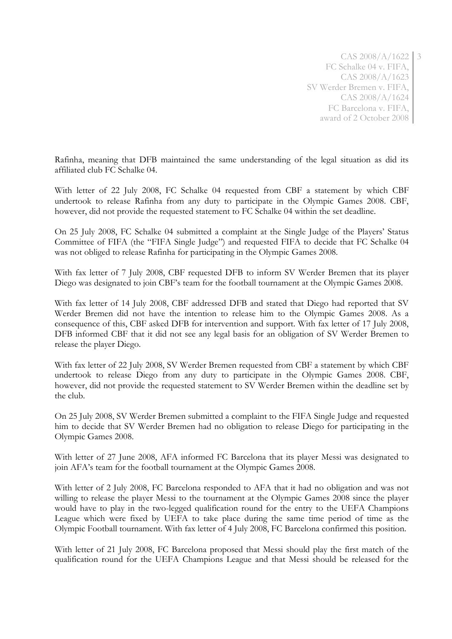Rafinha, meaning that DFB maintained the same understanding of the legal situation as did its affiliated club FC Schalke 04.

With letter of 22 July 2008, FC Schalke 04 requested from CBF a statement by which CBF undertook to release Rafinha from any duty to participate in the Olympic Games 2008. CBF, however, did not provide the requested statement to FC Schalke 04 within the set deadline.

On 25 July 2008, FC Schalke 04 submitted a complaint at the Single Judge of the Players' Status Committee of FIFA (the "FIFA Single Judge") and requested FIFA to decide that FC Schalke 04 was not obliged to release Rafinha for participating in the Olympic Games 2008.

With fax letter of 7 July 2008, CBF requested DFB to inform SV Werder Bremen that its player Diego was designated to join CBF's team for the football tournament at the Olympic Games 2008.

With fax letter of 14 July 2008, CBF addressed DFB and stated that Diego had reported that SV Werder Bremen did not have the intention to release him to the Olympic Games 2008. As a consequence of this, CBF asked DFB for intervention and support. With fax letter of 17 July 2008, DFB informed CBF that it did not see any legal basis for an obligation of SV Werder Bremen to release the player Diego.

With fax letter of 22 July 2008, SV Werder Bremen requested from CBF a statement by which CBF undertook to release Diego from any duty to participate in the Olympic Games 2008. CBF, however, did not provide the requested statement to SV Werder Bremen within the deadline set by the club.

On 25 July 2008, SV Werder Bremen submitted a complaint to the FIFA Single Judge and requested him to decide that SV Werder Bremen had no obligation to release Diego for participating in the Olympic Games 2008.

With letter of 27 June 2008, AFA informed FC Barcelona that its player Messi was designated to join AFA's team for the football tournament at the Olympic Games 2008.

With letter of 2 July 2008, FC Barcelona responded to AFA that it had no obligation and was not willing to release the player Messi to the tournament at the Olympic Games 2008 since the player would have to play in the two-legged qualification round for the entry to the UEFA Champions League which were fixed by UEFA to take place during the same time period of time as the Olympic Football tournament. With fax letter of 4 July 2008, FC Barcelona confirmed this position.

With letter of 21 July 2008, FC Barcelona proposed that Messi should play the first match of the qualification round for the UEFA Champions League and that Messi should be released for the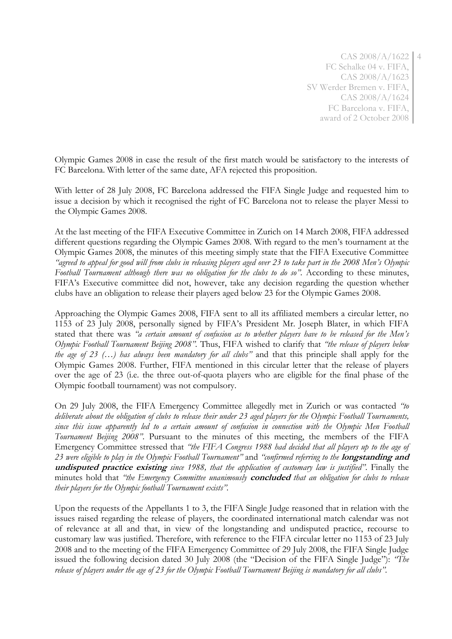4

Olympic Games 2008 in case the result of the first match would be satisfactory to the interests of FC Barcelona. With letter of the same date, AFA rejected this proposition.

With letter of 28 July 2008, FC Barcelona addressed the FIFA Single Judge and requested him to issue a decision by which it recognised the right of FC Barcelona not to release the player Messi to the Olympic Games 2008.

At the last meeting of the FIFA Executive Committee in Zurich on 14 March 2008, FIFA addressed different questions regarding the Olympic Games 2008. With regard to the men's tournament at the Olympic Games 2008, the minutes of this meeting simply state that the FIFA Executive Committee *"agreed to appeal for good will from clubs in releasing players aged over 23 to take part in the 2008 Men's Olympic Football Tournament although there was no obligation for the clubs to do so".* According to these minutes, FIFA's Executive committee did not, however, take any decision regarding the question whether clubs have an obligation to release their players aged below 23 for the Olympic Games 2008.

Approaching the Olympic Games 2008, FIFA sent to all its affiliated members a circular letter, no 1153 of 23 July 2008, personally signed by FIFA's President Mr. Joseph Blater, in which FIFA stated that there was *"a certain amount of confusion as to whether players have to be released for the Men's Olympic Football Tournament Beijing 2008".* Thus, FIFA wished to clarify that *"the release of players below the age of 23 (…) has always been mandatory for all clubs"* and that this principle shall apply for the Olympic Games 2008. Further, FIFA mentioned in this circular letter that the release of players over the age of 23 (i.e. the three out-of-quota players who are eligible for the final phase of the Olympic football tournament) was not compulsory.

On 29 July 2008, the FIFA Emergency Committee allegedly met in Zurich or was contacted *"to deliberate about the obligation of clubs to release their under 23 aged players for the Olympic Football Tournaments, since this issue apparently led to a certain amount of confusion in connection with the Olympic Men Football Tournament Beijing 2008"*. Pursuant to the minutes of this meeting, the members of the FIFA Emergency Committee stressed that *"the FIFA Congress 1988 had decided that all players up to the age of 23 were eligible to play in the Olympic Football Tournament"* and *"confirmed referring to the* **longstanding and undisputed practice existing** *since 1988, that the application of customary law is justified"*. Finally the minutes hold that *"the Emergency Committee unanimously* **concluded** *that an obligation for clubs to release their players for the Olympic football Tournament exists".*

Upon the requests of the Appellants 1 to 3, the FIFA Single Judge reasoned that in relation with the issues raised regarding the release of players, the coordinated international match calendar was not of relevance at all and that, in view of the longstanding and undisputed practice, recourse to customary law was justified. Therefore, with reference to the FIFA circular letter no 1153 of 23 July 2008 and to the meeting of the FIFA Emergency Committee of 29 July 2008, the FIFA Single Judge issued the following decision dated 30 July 2008 (the "Decision of the FIFA Single Judge"): *"The release of players under the age of 23 for the Olympic Football Tournament Beijing is mandatory for all clubs".*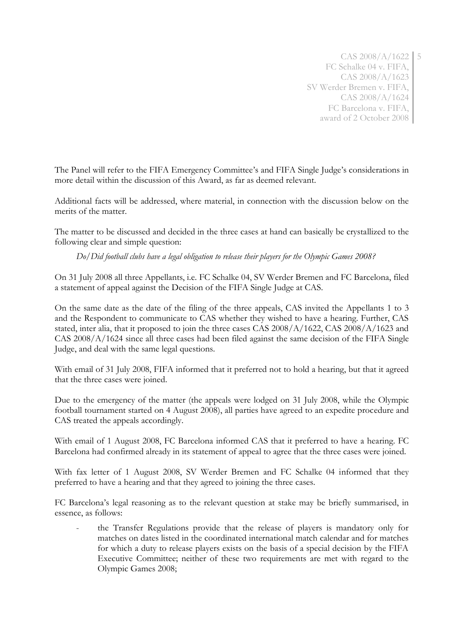The Panel will refer to the FIFA Emergency Committee's and FIFA Single Judge's considerations in more detail within the discussion of this Award, as far as deemed relevant.

Additional facts will be addressed, where material, in connection with the discussion below on the merits of the matter.

The matter to be discussed and decided in the three cases at hand can basically be crystallized to the following clear and simple question:

*Do/Did football clubs have a legal obligation to release their players for the Olympic Games 2008?*

On 31 July 2008 all three Appellants, i.e. FC Schalke 04, SV Werder Bremen and FC Barcelona, filed a statement of appeal against the Decision of the FIFA Single Judge at CAS.

On the same date as the date of the filing of the three appeals, CAS invited the Appellants 1 to 3 and the Respondent to communicate to CAS whether they wished to have a hearing. Further, CAS stated, inter alia, that it proposed to join the three cases CAS 2008/A/1622, CAS 2008/A/1623 and CAS 2008/A/1624 since all three cases had been filed against the same decision of the FIFA Single Judge, and deal with the same legal questions.

With email of 31 July 2008, FIFA informed that it preferred not to hold a hearing, but that it agreed that the three cases were joined.

Due to the emergency of the matter (the appeals were lodged on 31 July 2008, while the Olympic football tournament started on 4 August 2008), all parties have agreed to an expedite procedure and CAS treated the appeals accordingly.

With email of 1 August 2008, FC Barcelona informed CAS that it preferred to have a hearing. FC Barcelona had confirmed already in its statement of appeal to agree that the three cases were joined.

With fax letter of 1 August 2008, SV Werder Bremen and FC Schalke 04 informed that they preferred to have a hearing and that they agreed to joining the three cases.

FC Barcelona's legal reasoning as to the relevant question at stake may be briefly summarised, in essence, as follows:

- the Transfer Regulations provide that the release of players is mandatory only for matches on dates listed in the coordinated international match calendar and for matches for which a duty to release players exists on the basis of a special decision by the FIFA Executive Committee; neither of these two requirements are met with regard to the Olympic Games 2008;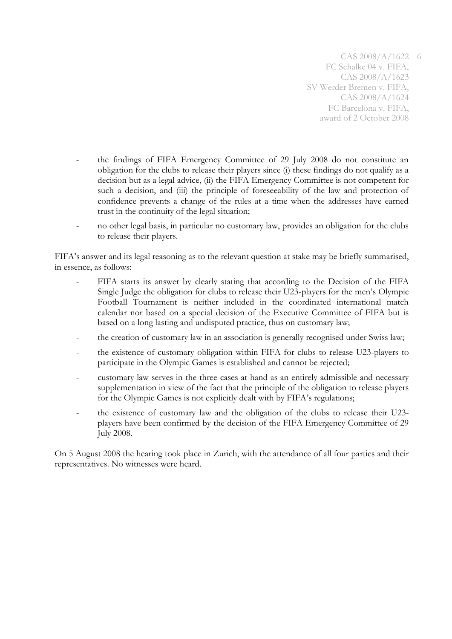6

- the findings of FIFA Emergency Committee of 29 July 2008 do not constitute an obligation for the clubs to release their players since (i) these findings do not qualify as a decision but as a legal advice, (ii) the FIFA Emergency Committee is not competent for such a decision, and (iii) the principle of foreseeability of the law and protection of confidence prevents a change of the rules at a time when the addresses have earned trust in the continuity of the legal situation;
- no other legal basis, in particular no customary law, provides an obligation for the clubs to release their players.

FIFA's answer and its legal reasoning as to the relevant question at stake may be briefly summarised, in essence, as follows:

- FIFA starts its answer by clearly stating that according to the Decision of the FIFA Single Judge the obligation for clubs to release their U23-players for the men's Olympic Football Tournament is neither included in the coordinated international match calendar nor based on a special decision of the Executive Committee of FIFA but is based on a long lasting and undisputed practice, thus on customary law;
- the creation of customary law in an association is generally recognised under Swiss law;
- the existence of customary obligation within FIFA for clubs to release U23-players to participate in the Olympic Games is established and cannot be rejected;
- customary law serves in the three cases at hand as an entirely admissible and necessary supplementation in view of the fact that the principle of the obligation to release players for the Olympic Games is not explicitly dealt with by FIFA's regulations;
- the existence of customary law and the obligation of the clubs to release their U23players have been confirmed by the decision of the FIFA Emergency Committee of 29 July 2008.

On 5 August 2008 the hearing took place in Zurich, with the attendance of all four parties and their representatives. No witnesses were heard.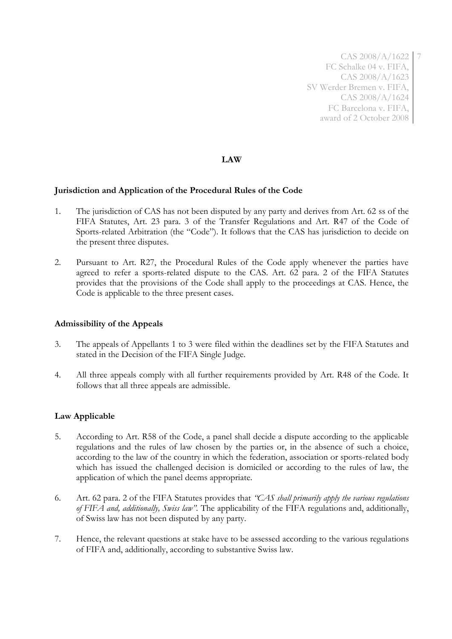7

# **LAW**

#### **Jurisdiction and Application of the Procedural Rules of the Code**

- 1. The jurisdiction of CAS has not been disputed by any party and derives from Art. 62 ss of the FIFA Statutes, Art. 23 para. 3 of the Transfer Regulations and Art. R47 of the Code of Sports-related Arbitration (the "Code"). It follows that the CAS has jurisdiction to decide on the present three disputes.
- 2. Pursuant to Art. R27, the Procedural Rules of the Code apply whenever the parties have agreed to refer a sports-related dispute to the CAS. Art. 62 para. 2 of the FIFA Statutes provides that the provisions of the Code shall apply to the proceedings at CAS. Hence, the Code is applicable to the three present cases.

#### **Admissibility of the Appeals**

- 3. The appeals of Appellants 1 to 3 were filed within the deadlines set by the FIFA Statutes and stated in the Decision of the FIFA Single Judge.
- 4. All three appeals comply with all further requirements provided by Art. R48 of the Code. It follows that all three appeals are admissible.

# **Law Applicable**

- 5. According to Art. R58 of the Code, a panel shall decide a dispute according to the applicable regulations and the rules of law chosen by the parties or, in the absence of such a choice, according to the law of the country in which the federation, association or sports-related body which has issued the challenged decision is domiciled or according to the rules of law, the application of which the panel deems appropriate.
- 6. Art. 62 para. 2 of the FIFA Statutes provides that *"CAS shall primarily apply the various regulations of FIFA and, additionally, Swiss law".* The applicability of the FIFA regulations and, additionally, of Swiss law has not been disputed by any party.
- 7. Hence, the relevant questions at stake have to be assessed according to the various regulations of FIFA and, additionally, according to substantive Swiss law.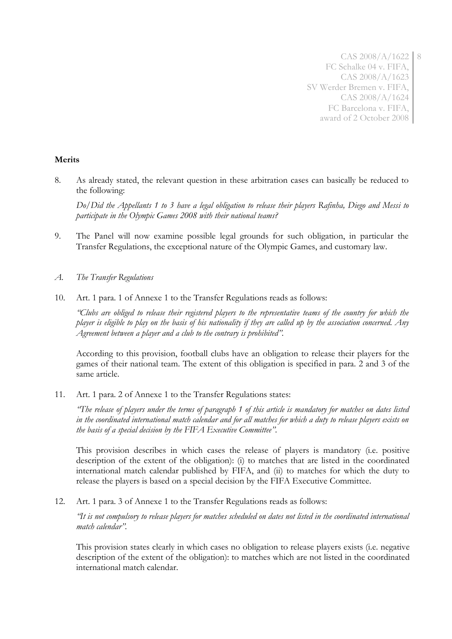# **Merits**

8. As already stated, the relevant question in these arbitration cases can basically be reduced to the following:

*Do/Did the Appellants 1 to 3 have a legal obligation to release their players Rafinha, Diego and Messi to participate in the Olympic Games 2008 with their national teams?*

- 9. The Panel will now examine possible legal grounds for such obligation, in particular the Transfer Regulations, the exceptional nature of the Olympic Games, and customary law.
- *A. The Transfer Regulations*
- 10. Art. 1 para. 1 of Annexe 1 to the Transfer Regulations reads as follows:

*"Clubs are obliged to release their registered players to the representative teams of the country for which the player is eligible to play on the basis of his nationality if they are called up by the association concerned. Any Agreement between a player and a club to the contrary is prohibited".*

According to this provision, football clubs have an obligation to release their players for the games of their national team. The extent of this obligation is specified in para. 2 and 3 of the same article.

11. Art. 1 para. 2 of Annexe 1 to the Transfer Regulations states:

*"The release of players under the terms of paragraph 1 of this article is mandatory for matches on dates listed in the coordinated international match calendar and for all matches for which a duty to release players exists on the basis of a special decision by the FIFA Executive Committee".*

This provision describes in which cases the release of players is mandatory (i.e. positive description of the extent of the obligation): (i) to matches that are listed in the coordinated international match calendar published by FIFA, and (ii) to matches for which the duty to release the players is based on a special decision by the FIFA Executive Committee.

12. Art. 1 para. 3 of Annexe 1 to the Transfer Regulations reads as follows:

*"It is not compulsory to release players for matches scheduled on dates not listed in the coordinated international match calendar".*

This provision states clearly in which cases no obligation to release players exists (i.e. negative description of the extent of the obligation): to matches which are not listed in the coordinated international match calendar.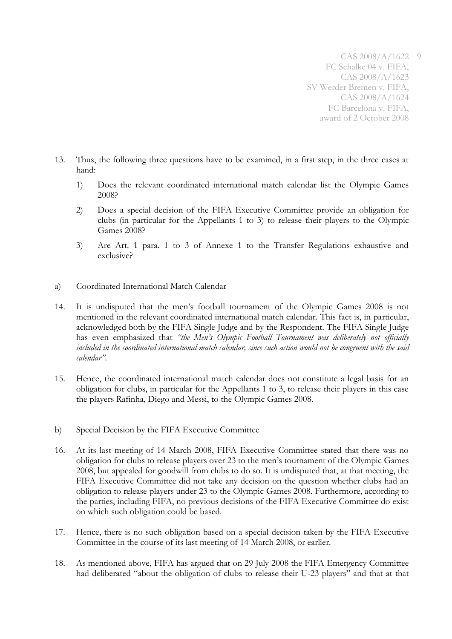9

- 13. Thus, the following three questions have to be examined, in a first step, in the three cases at hand:
	- 1) Does the relevant coordinated international match calendar list the Olympic Games 2008?
	- 2) Does a special decision of the FIFA Executive Committee provide an obligation for clubs (in particular for the Appellants 1 to 3) to release their players to the Olympic Games 2008?
	- 3) Are Art. 1 para. 1 to 3 of Annexe 1 to the Transfer Regulations exhaustive and exclusive?
- a) Coordinated International Match Calendar
- 14. It is undisputed that the men's football tournament of the Olympic Games 2008 is not mentioned in the relevant coordinated international match calendar. This fact is, in particular, acknowledged both by the FIFA Single Judge and by the Respondent. The FIFA Single Judge has even emphasized that *"the Men's Olympic Football Tournament was deliberately not officially included in the coordinated international match calendar, since such action would not be congruent with the said calendar"*.
- 15. Hence, the coordinated international match calendar does not constitute a legal basis for an obligation for clubs, in particular for the Appellants 1 to 3, to release their players in this case the players Rafinha, Diego and Messi, to the Olympic Games 2008.
- b) Special Decision by the FIFA Executive Committee
- 16. At its last meeting of 14 March 2008, FIFA Executive Committee stated that there was no obligation for clubs to release players over 23 to the men's tournament of the Olympic Games 2008, but appealed for goodwill from clubs to do so. It is undisputed that, at that meeting, the FIFA Executive Committee did not take any decision on the question whether clubs had an obligation to release players under 23 to the Olympic Games 2008. Furthermore, according to the parties, including FIFA, no previous decisions of the FIFA Executive Committee do exist on which such obligation could be based.
- 17. Hence, there is no such obligation based on a special decision taken by the FIFA Executive Committee in the course of its last meeting of 14 March 2008, or earlier.
- 18. As mentioned above, FIFA has argued that on 29 July 2008 the FIFA Emergency Committee had deliberated "about the obligation of clubs to release their U-23 players" and that at that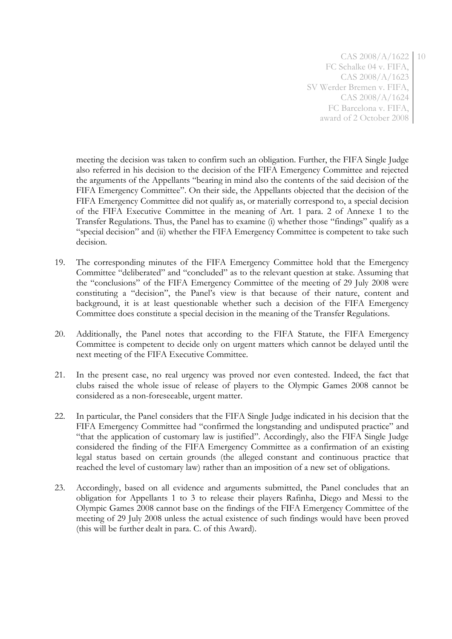meeting the decision was taken to confirm such an obligation. Further, the FIFA Single Judge also referred in his decision to the decision of the FIFA Emergency Committee and rejected the arguments of the Appellants "bearing in mind also the contents of the said decision of the FIFA Emergency Committee". On their side, the Appellants objected that the decision of the FIFA Emergency Committee did not qualify as, or materially correspond to, a special decision of the FIFA Executive Committee in the meaning of Art. 1 para. 2 of Annexe 1 to the Transfer Regulations. Thus, the Panel has to examine (i) whether those "findings" qualify as a "special decision" and (ii) whether the FIFA Emergency Committee is competent to take such decision.

- 19. The corresponding minutes of the FIFA Emergency Committee hold that the Emergency Committee "deliberated" and "concluded" as to the relevant question at stake. Assuming that the "conclusions" of the FIFA Emergency Committee of the meeting of 29 July 2008 were constituting a "decision", the Panel's view is that because of their nature, content and background, it is at least questionable whether such a decision of the FIFA Emergency Committee does constitute a special decision in the meaning of the Transfer Regulations.
- 20. Additionally, the Panel notes that according to the FIFA Statute, the FIFA Emergency Committee is competent to decide only on urgent matters which cannot be delayed until the next meeting of the FIFA Executive Committee.
- 21. In the present case, no real urgency was proved nor even contested. Indeed, the fact that clubs raised the whole issue of release of players to the Olympic Games 2008 cannot be considered as a non-foreseeable, urgent matter.
- 22. In particular, the Panel considers that the FIFA Single Judge indicated in his decision that the FIFA Emergency Committee had "confirmed the longstanding and undisputed practice" and "that the application of customary law is justified". Accordingly, also the FIFA Single Judge considered the finding of the FIFA Emergency Committee as a confirmation of an existing legal status based on certain grounds (the alleged constant and continuous practice that reached the level of customary law) rather than an imposition of a new set of obligations.
- 23. Accordingly, based on all evidence and arguments submitted, the Panel concludes that an obligation for Appellants 1 to 3 to release their players Rafinha, Diego and Messi to the Olympic Games 2008 cannot base on the findings of the FIFA Emergency Committee of the meeting of 29 July 2008 unless the actual existence of such findings would have been proved (this will be further dealt in para. C. of this Award).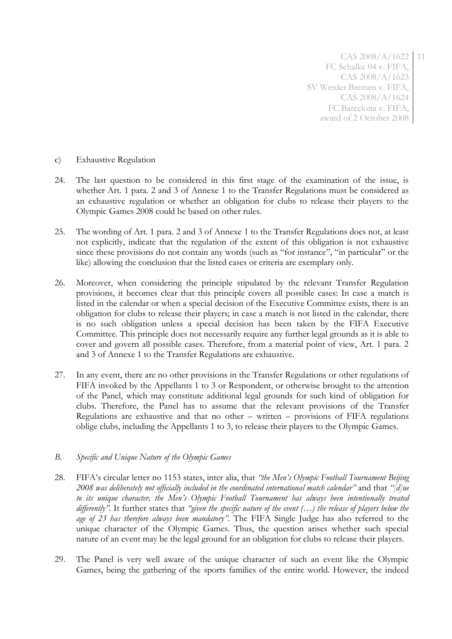- c) Exhaustive Regulation
- 24. The last question to be considered in this first stage of the examination of the issue, is whether Art. 1 para. 2 and 3 of Annexe 1 to the Transfer Regulations must be considered as an exhaustive regulation or whether an obligation for clubs to release their players to the Olympic Games 2008 could be based on other rules.
- 25. The wording of Art. 1 para. 2 and 3 of Annexe 1 to the Transfer Regulations does not, at least not explicitly, indicate that the regulation of the extent of this obligation is not exhaustive since these provisions do not contain any words (such as "for instance", "in particular" or the like) allowing the conclusion that the listed cases or criteria are exemplary only.
- 26. Moreover, when considering the principle stipulated by the relevant Transfer Regulation provisions, it becomes clear that this principle covers all possible cases: In case a match is listed in the calendar or when a special decision of the Executive Committee exists, there is an obligation for clubs to release their players; in case a match is not listed in the calendar, there is no such obligation unless a special decision has been taken by the FIFA Executive Committee. This principle does not necessarily require any further legal grounds as it is able to cover and govern all possible cases. Therefore, from a material point of view, Art. 1 para. 2 and 3 of Annexe 1 to the Transfer Regulations are exhaustive.
- 27. In any event, there are no other provisions in the Transfer Regulations or other regulations of FIFA invoked by the Appellants 1 to 3 or Respondent, or otherwise brought to the attention of the Panel, which may constitute additional legal grounds for such kind of obligation for clubs. Therefore, the Panel has to assume that the relevant provisions of the Transfer Regulations are exhaustive and that no other – written – provisions of FIFA regulations oblige clubs, including the Appellants 1 to 3, to release their players to the Olympic Games.

#### *B. Specific and Unique Nature of the Olympic Games*

- 28. FIFA's circular letter no 1153 states, inter alia, that *"the Men's Olympic Football Tournament Beijing 2008 was deliberately not officially included in the coordinated international match calendar"* and that *"[d]ue to its unique character, the Men's Olympic Football Tournament has always been intentionally treated differently".* It further states that *"given the specific nature of the event (…) the release of players below the age of 23 has therefore always been mandatory"*. The FIFA Single Judge has also referred to the unique character of the Olympic Games. Thus, the question arises whether such special nature of an event may be the legal ground for an obligation for clubs to release their players.
- 29. The Panel is very well aware of the unique character of such an event like the Olympic Games, being the gathering of the sports families of the entire world. However, the indeed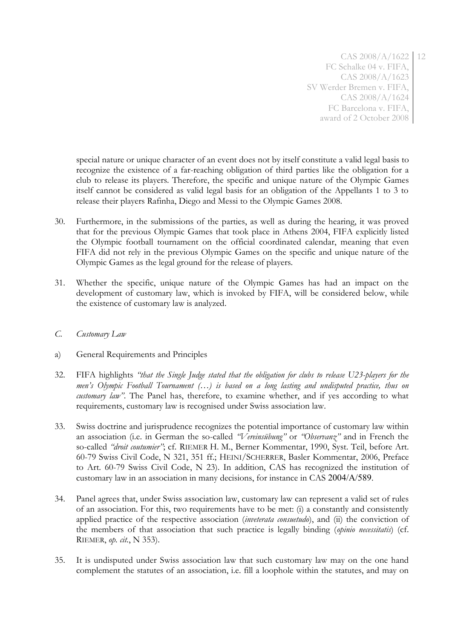special nature or unique character of an event does not by itself constitute a valid legal basis to recognize the existence of a far-reaching obligation of third parties like the obligation for a club to release its players. Therefore, the specific and unique nature of the Olympic Games itself cannot be considered as valid legal basis for an obligation of the Appellants 1 to 3 to release their players Rafinha, Diego and Messi to the Olympic Games 2008.

- 30. Furthermore, in the submissions of the parties, as well as during the hearing, it was proved that for the previous Olympic Games that took place in Athens 2004, FIFA explicitly listed the Olympic football tournament on the official coordinated calendar, meaning that even FIFA did not rely in the previous Olympic Games on the specific and unique nature of the Olympic Games as the legal ground for the release of players.
- 31. Whether the specific, unique nature of the Olympic Games has had an impact on the development of customary law, which is invoked by FIFA, will be considered below, while the existence of customary law is analyzed.
- *C. Customary Law*
- a) General Requirements and Principles
- 32. FIFA highlights *"that the Single Judge stated that the obligation for clubs to release U23-players for the men's Olympic Football Tournament (…) is based on a long lasting and undisputed practice, thus on customary law*". The Panel has, therefore, to examine whether, and if yes according to what requirements, customary law is recognised under Swiss association law.
- 33. Swiss doctrine and jurisprudence recognizes the potential importance of customary law within an association (i.e. in German the so-called *"Vereinsübung"* or *"Observanz"* and in French the so-called *"droit coutumier"*; cf. RIEMER H. M., Berner Kommentar, 1990, Syst. Teil, before Art. 60-79 Swiss Civil Code, N 321, 351 ff.; HEINI/SCHERRER, Basler Kommentar, 2006, Preface to Art. 60-79 Swiss Civil Code, N 23). In addition, CAS has recognized the institution of customary law in an association in many decisions, for instance in CAS 2004/A/589.
- 34. Panel agrees that, under Swiss association law, customary law can represent a valid set of rules of an association. For this, two requirements have to be met: (i) a constantly and consistently applied practice of the respective association (*inveterata consuetudo*), and (ii) the conviction of the members of that association that such practice is legally binding (*opinio necessitatis*) (cf. RIEMER, *op. cit.*, N 353).
- 35. It is undisputed under Swiss association law that such customary law may on the one hand complement the statutes of an association, i.e. fill a loophole within the statutes, and may on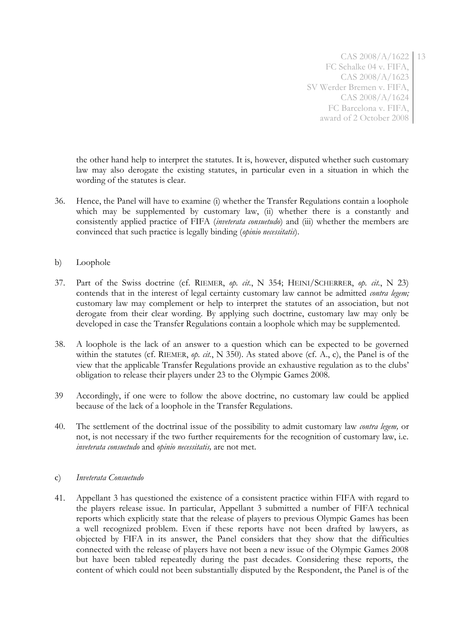the other hand help to interpret the statutes. It is, however, disputed whether such customary law may also derogate the existing statutes, in particular even in a situation in which the wording of the statutes is clear.

- 36. Hence, the Panel will have to examine (i) whether the Transfer Regulations contain a loophole which may be supplemented by customary law, (ii) whether there is a constantly and consistently applied practice of FIFA (*inveterata consuetudo*) and (iii) whether the members are convinced that such practice is legally binding (*opinio necessitatis*).
- b) Loophole
- 37. Part of the Swiss doctrine (cf. RIEMER, *op. cit.*, N 354; HEINI/SCHERRER, *op. cit.*, N 23) contends that in the interest of legal certainty customary law cannot be admitted *contra legem;*  customary law may complement or help to interpret the statutes of an association, but not derogate from their clear wording. By applying such doctrine, customary law may only be developed in case the Transfer Regulations contain a loophole which may be supplemented.
- 38. A loophole is the lack of an answer to a question which can be expected to be governed within the statutes (cf. RIEMER, *op. cit.*, N 350). As stated above (cf. A., c), the Panel is of the view that the applicable Transfer Regulations provide an exhaustive regulation as to the clubs' obligation to release their players under 23 to the Olympic Games 2008.
- 39 Accordingly, if one were to follow the above doctrine, no customary law could be applied because of the lack of a loophole in the Transfer Regulations.
- 40. The settlement of the doctrinal issue of the possibility to admit customary law *contra legem,* or not, is not necessary if the two further requirements for the recognition of customary law, i.e. *inveterata consuetudo* and *opinio necessitatis,* are not met.

# c) *Inveterata Consuetudo*

41. Appellant 3 has questioned the existence of a consistent practice within FIFA with regard to the players release issue. In particular, Appellant 3 submitted a number of FIFA technical reports which explicitly state that the release of players to previous Olympic Games has been a well recognized problem. Even if these reports have not been drafted by lawyers, as objected by FIFA in its answer, the Panel considers that they show that the difficulties connected with the release of players have not been a new issue of the Olympic Games 2008 but have been tabled repeatedly during the past decades. Considering these reports, the content of which could not been substantially disputed by the Respondent, the Panel is of the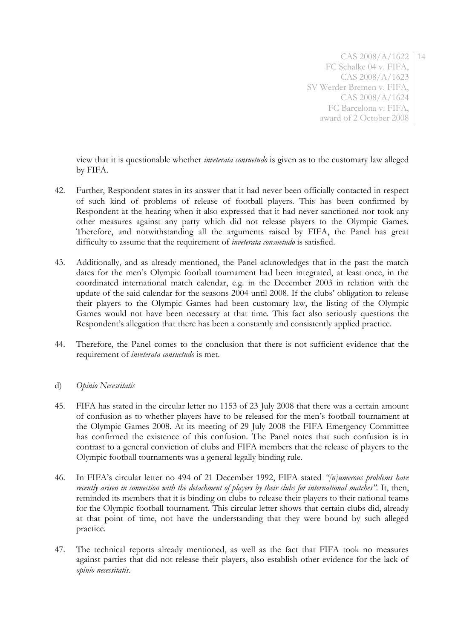view that it is questionable whether *inveterata consuetudo* is given as to the customary law alleged by FIFA.

- 42. Further, Respondent states in its answer that it had never been officially contacted in respect of such kind of problems of release of football players. This has been confirmed by Respondent at the hearing when it also expressed that it had never sanctioned nor took any other measures against any party which did not release players to the Olympic Games. Therefore, and notwithstanding all the arguments raised by FIFA, the Panel has great difficulty to assume that the requirement of *inveterata consuetudo* is satisfied.
- 43. Additionally, and as already mentioned, the Panel acknowledges that in the past the match dates for the men's Olympic football tournament had been integrated, at least once, in the coordinated international match calendar, e.g. in the December 2003 in relation with the update of the said calendar for the seasons 2004 until 2008. If the clubs' obligation to release their players to the Olympic Games had been customary law, the listing of the Olympic Games would not have been necessary at that time. This fact also seriously questions the Respondent's allegation that there has been a constantly and consistently applied practice.
- 44. Therefore, the Panel comes to the conclusion that there is not sufficient evidence that the requirement of *inveterata consuetudo* is met.
- d) *Opinio Necessitatis*
- 45. FIFA has stated in the circular letter no 1153 of 23 July 2008 that there was a certain amount of confusion as to whether players have to be released for the men's football tournament at the Olympic Games 2008. At its meeting of 29 July 2008 the FIFA Emergency Committee has confirmed the existence of this confusion. The Panel notes that such confusion is in contrast to a general conviction of clubs and FIFA members that the release of players to the Olympic football tournaments was a general legally binding rule.
- 46. In FIFA's circular letter no 494 of 21 December 1992, FIFA stated *"[n]umerous problems have recently arisen in connection with the detachment of players by their clubs for international matches".* It, then, reminded its members that it is binding on clubs to release their players to their national teams for the Olympic football tournament. This circular letter shows that certain clubs did, already at that point of time, not have the understanding that they were bound by such alleged practice.
- 47. The technical reports already mentioned, as well as the fact that FIFA took no measures against parties that did not release their players, also establish other evidence for the lack of *opinio necessitatis*.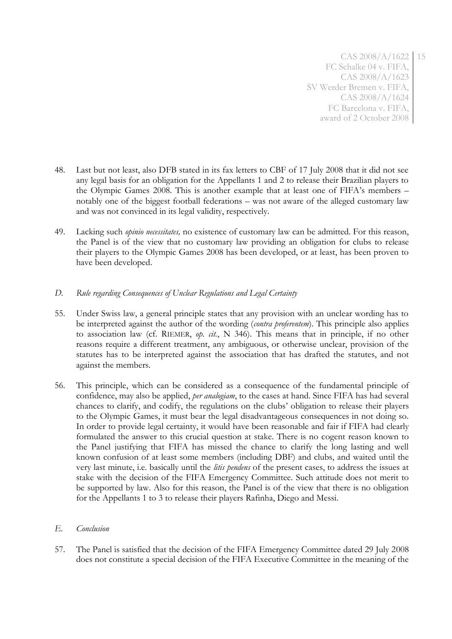- 48. Last but not least, also DFB stated in its fax letters to CBF of 17 July 2008 that it did not see any legal basis for an obligation for the Appellants 1 and 2 to release their Brazilian players to the Olympic Games 2008. This is another example that at least one of FIFA's members – notably one of the biggest football federations – was not aware of the alleged customary law and was not convinced in its legal validity, respectively.
- 49. Lacking such *opinio necessitates,* no existence of customary law can be admitted. For this reason, the Panel is of the view that no customary law providing an obligation for clubs to release their players to the Olympic Games 2008 has been developed, or at least, has been proven to have been developed.

# *D. Rule regarding Consequences of Unclear Regulations and Legal Certainty*

- 55. Under Swiss law, a general principle states that any provision with an unclear wording has to be interpreted against the author of the wording (*contra proferentem*). This principle also applies to association law (cf. RIEMER, *op. cit.*, N 346). This means that in principle, if no other reasons require a different treatment, any ambiguous, or otherwise unclear, provision of the statutes has to be interpreted against the association that has drafted the statutes, and not against the members.
- 56. This principle, which can be considered as a consequence of the fundamental principle of confidence, may also be applied, *per analogiam*, to the cases at hand. Since FIFA has had several chances to clarify, and codify, the regulations on the clubs' obligation to release their players to the Olympic Games, it must bear the legal disadvantageous consequences in not doing so. In order to provide legal certainty, it would have been reasonable and fair if FIFA had clearly formulated the answer to this crucial question at stake. There is no cogent reason known to the Panel justifying that FIFA has missed the chance to clarify the long lasting and well known confusion of at least some members (including DBF) and clubs, and waited until the very last minute, i.e. basically until the *litis pendens* of the present cases, to address the issues at stake with the decision of the FIFA Emergency Committee. Such attitude does not merit to be supported by law. Also for this reason, the Panel is of the view that there is no obligation for the Appellants 1 to 3 to release their players Rafinha, Diego and Messi.

# *E. Conclusion*

57. The Panel is satisfied that the decision of the FIFA Emergency Committee dated 29 July 2008 does not constitute a special decision of the FIFA Executive Committee in the meaning of the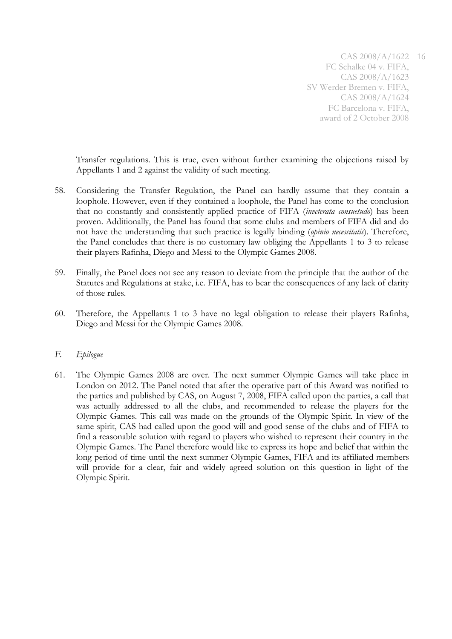Transfer regulations. This is true, even without further examining the objections raised by Appellants 1 and 2 against the validity of such meeting.

- 58. Considering the Transfer Regulation, the Panel can hardly assume that they contain a loophole. However, even if they contained a loophole, the Panel has come to the conclusion that no constantly and consistently applied practice of FIFA (*inveterata consuetudo*) has been proven. Additionally, the Panel has found that some clubs and members of FIFA did and do not have the understanding that such practice is legally binding (*opinio necessitatis*). Therefore, the Panel concludes that there is no customary law obliging the Appellants 1 to 3 to release their players Rafinha, Diego and Messi to the Olympic Games 2008.
- 59. Finally, the Panel does not see any reason to deviate from the principle that the author of the Statutes and Regulations at stake, i.e. FIFA, has to bear the consequences of any lack of clarity of those rules.
- 60. Therefore, the Appellants 1 to 3 have no legal obligation to release their players Rafinha, Diego and Messi for the Olympic Games 2008.

#### *F. Epilogue*

61. The Olympic Games 2008 are over. The next summer Olympic Games will take place in London on 2012. The Panel noted that after the operative part of this Award was notified to the parties and published by CAS, on August 7, 2008, FIFA called upon the parties, a call that was actually addressed to all the clubs, and recommended to release the players for the Olympic Games. This call was made on the grounds of the Olympic Spirit. In view of the same spirit, CAS had called upon the good will and good sense of the clubs and of FIFA to find a reasonable solution with regard to players who wished to represent their country in the Olympic Games. The Panel therefore would like to express its hope and belief that within the long period of time until the next summer Olympic Games, FIFA and its affiliated members will provide for a clear, fair and widely agreed solution on this question in light of the Olympic Spirit.